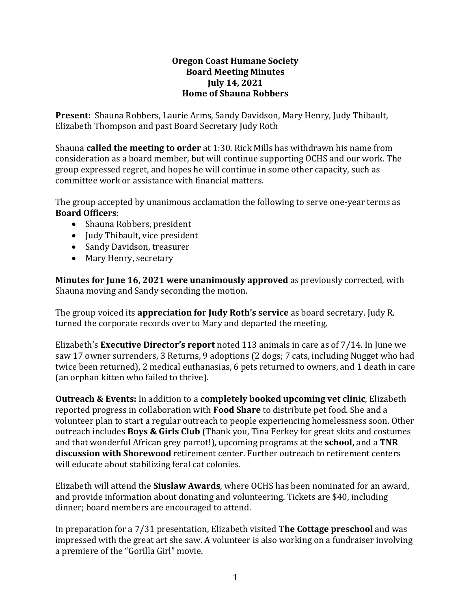# **Oregon Coast Humane Society Board Meeting Minutes July 14, 2021 Home of Shauna Robbers**

**Present:** Shauna Robbers, Laurie Arms, Sandy Davidson, Mary Henry, Judy Thibault, Elizabeth Thompson and past Board Secretary Judy Roth

Shauna **called the meeting to order** at 1:30. Rick Mills has withdrawn his name from consideration as a board member, but will continue supporting OCHS and our work. The group expressed regret, and hopes he will continue in some other capacity, such as committee work or assistance with financial matters.

The group accepted by unanimous acclamation the following to serve one-year terms as **Board Officers**:

- Shauna Robbers, president
- Judy Thibault, vice president
- Sandy Davidson, treasurer
- Mary Henry, secretary

**Minutes for June 16, 2021 were unanimously approved** as previously corrected, with Shauna moving and Sandy seconding the motion.

The group voiced its **appreciation for Judy Roth's service** as board secretary. Judy R. turned the corporate records over to Mary and departed the meeting.

Elizabeth's **Executive Director's report** noted 113 animals in care as of 7/14. In June we saw 17 owner surrenders, 3 Returns, 9 adoptions (2 dogs; 7 cats, including Nugget who had twice been returned), 2 medical euthanasias, 6 pets returned to owners, and 1 death in care (an orphan kitten who failed to thrive).

**Outreach & Events:** In addition to a **completely booked upcoming vet clinic**, Elizabeth reported progress in collaboration with **Food Share** to distribute pet food. She and a volunteer plan to start a regular outreach to people experiencing homelessness soon. Other outreach includes **Boys & Girls Club** (Thank you, Tina Ferkey for great skits and costumes and that wonderful African grey parrot!), upcoming programs at the **school,** and a **TNR discussion with Shorewood** retirement center. Further outreach to retirement centers will educate about stabilizing feral cat colonies.

Elizabeth will attend the **Siuslaw Awards**, where OCHS has been nominated for an award, and provide information about donating and volunteering. Tickets are \$40, including dinner; board members are encouraged to attend.

In preparation for a 7/31 presentation, Elizabeth visited **The Cottage preschool** and was impressed with the great art she saw. A volunteer is also working on a fundraiser involving a premiere of the "Gorilla Girl" movie.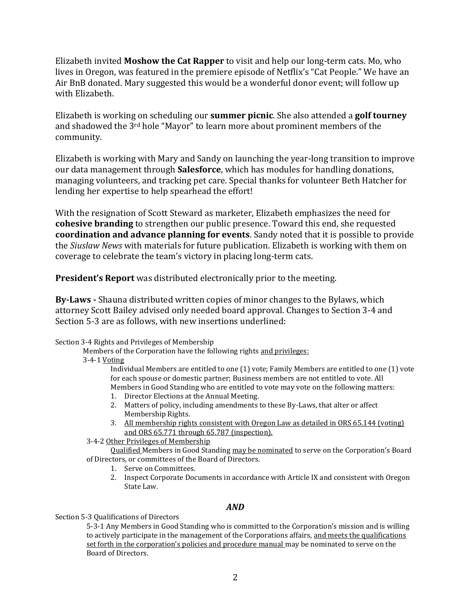Elizabeth invited **Moshow the Cat Rapper** to visit and help our long-term cats. Mo, who lives in Oregon, was featured in the premiere episode of Netflix's "Cat People." We have an Air BnB donated. Mary suggested this would be a wonderful donor event; will follow up with Elizabeth.

Elizabeth is working on scheduling our **summer picnic**. She also attended a **golf tourney** and shadowed the 3rd hole "Mayor" to learn more about prominent members of the community.

Elizabeth is working with Mary and Sandy on launching the year-long transition to improve our data management through **Salesforce**, which has modules for handling donations, managing volunteers, and tracking pet care. Special thanks for volunteer Beth Hatcher for lending her expertise to help spearhead the effort!

With the resignation of Scott Steward as marketer, Elizabeth emphasizes the need for **cohesive branding** to strengthen our public presence. Toward this end, she requested **coordination and advance planning for events**. Sandy noted that it is possible to provide the *Siuslaw News* with materials for future publication. Elizabeth is working with them on coverage to celebrate the team's victory in placing long-term cats.

**President's Report** was distributed electronically prior to the meeting.

**By-Laws -** Shauna distributed written copies of minor changes to the Bylaws, which attorney Scott Bailey advised only needed board approval. Changes to Section 3-4 and Section 5-3 are as follows, with new insertions underlined:

## Section 3-4 Rights and Privileges of Membership

Members of the Corporation have the following rights and privileges:

## 3-4-1 Voting

Individual Members are entitled to one (1) vote; Family Members are entitled to one (1) vote for each spouse or domestic partner; Business members are not entitled to vote. All Members in Good Standing who are entitled to vote may vote on the following matters:

- 1. Director Elections at the Annual Meeting.
- 2. Matters of policy, including amendments to these By-Laws, that alter or affect Membership Rights.
- 3. All membership rights consistent with Oregon Law as detailed in ORS 65.144 (voting) and ORS 65.771 through 65.787 (inspection).
- 3-4-2 Other Privileges of Membership

Qualified Members in Good Standing may be nominated to serve on the Corporation's Board of Directors, or committees of the Board of Directors.

- 1. Serve on Committees.
- 2. Inspect Corporate Documents in accordance with Article IX and consistent with Oregon State Law.

## *AND*

## Section 5-3 Qualifications of Directors

5-3-1 Any Members in Good Standing who is committed to the Corporation's mission and is willing to actively participate in the management of the Corporations affairs, and meets the qualifications set forth in the corporation's policies and procedure manual may be nominated to serve on the Board of Directors.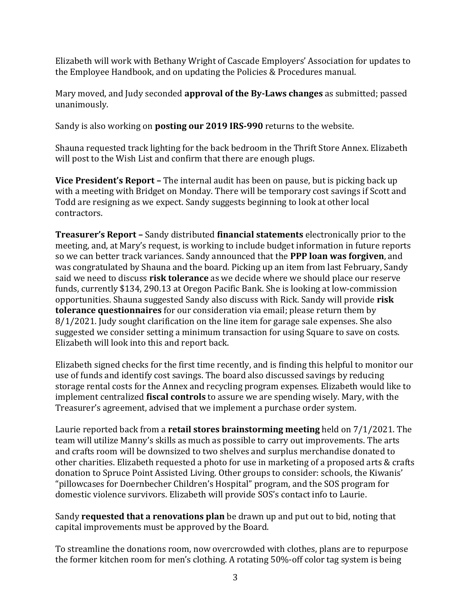Elizabeth will work with Bethany Wright of Cascade Employers' Association for updates to the Employee Handbook, and on updating the Policies & Procedures manual.

Mary moved, and Judy seconded **approval of the By-Laws changes** as submitted; passed unanimously.

Sandy is also working on **posting our 2019 IRS-990** returns to the website.

Shauna requested track lighting for the back bedroom in the Thrift Store Annex. Elizabeth will post to the Wish List and confirm that there are enough plugs.

**Vice President's Report –** The internal audit has been on pause, but is picking back up with a meeting with Bridget on Monday. There will be temporary cost savings if Scott and Todd are resigning as we expect. Sandy suggests beginning to look at other local contractors.

**Treasurer's Report –** Sandy distributed **financial statements** electronically prior to the meeting, and, at Mary's request, is working to include budget information in future reports so we can better track variances. Sandy announced that the **PPP loan was forgiven**, and was congratulated by Shauna and the board. Picking up an item from last February, Sandy said we need to discuss **risk tolerance** as we decide where we should place our reserve funds, currently \$134, 290.13 at Oregon Pacific Bank. She is looking at low-commission opportunities. Shauna suggested Sandy also discuss with Rick. Sandy will provide **risk tolerance questionnaires** for our consideration via email; please return them by 8/1/2021. Judy sought clarification on the line item for garage sale expenses. She also suggested we consider setting a minimum transaction for using Square to save on costs. Elizabeth will look into this and report back.

Elizabeth signed checks for the first time recently, and is finding this helpful to monitor our use of funds and identify cost savings. The board also discussed savings by reducing storage rental costs for the Annex and recycling program expenses. Elizabeth would like to implement centralized **fiscal controls** to assure we are spending wisely. Mary, with the Treasurer's agreement, advised that we implement a purchase order system.

Laurie reported back from a **retail stores brainstorming meeting** held on 7/1/2021. The team will utilize Manny's skills as much as possible to carry out improvements. The arts and crafts room will be downsized to two shelves and surplus merchandise donated to other charities. Elizabeth requested a photo for use in marketing of a proposed arts & crafts donation to Spruce Point Assisted Living. Other groups to consider: schools, the Kiwanis' "pillowcases for Doernbecher Children's Hospital" program, and the SOS program for domestic violence survivors. Elizabeth will provide SOS's contact info to Laurie.

Sandy **requested that a renovations plan** be drawn up and put out to bid, noting that capital improvements must be approved by the Board.

To streamline the donations room, now overcrowded with clothes, plans are to repurpose the former kitchen room for men's clothing. A rotating 50%-off color tag system is being